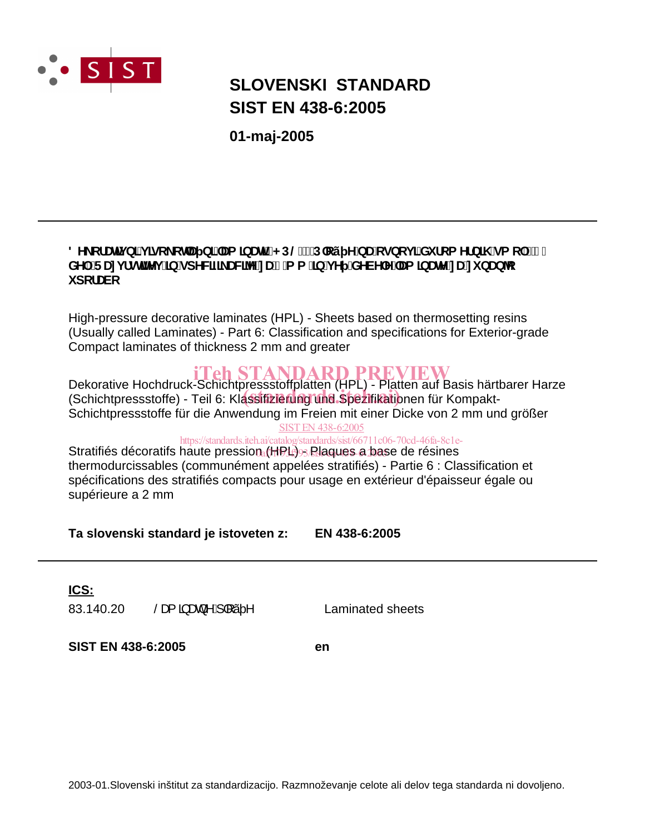

# **SIST EN 438-6:2005 SLOVENSKI STANDARD**

**01-maj-2005**

# 8Y\_cfUhj b]`j ]gc\_chU b]``Ua ]bUhj'fkD@'!'D`cý YbU'cgbcj ]'Xi fca Yfb]\ 'ga c`'!'\*" XY. F Unj fghlhYj ']b'gdYWZ\_UWY'nU&a a ']b'j Y 'XYVYY''Ua ]bUhY'nU'ni bUb*'*c **i** dcfUVc

High-pressure decorative laminates (HPL) - Sheets based on thermosetting resins (Usually called Laminates) - Part 6: Classification and specifications for Exterior-grade Compact laminates of thickness 2 mm and greater

**iTeh STANDARD PREVIEW**<br>Dekorative Hochdruck-Schichtpressstoffplatten (HPL) - Platten auf Basis härtbarer Harze Bekordarde Hoendruck Generighessstorplatten (in E) Tratten dar Basis hand Schichtpressstoffe für die Anwendung im Freien mit einer Dicke von 2 mm und größer SIST EN 438-6:2005

# https://standards.iteh.ai/catalog/standards/sist/66711c06-70cd-46fa-8c1e-

Stratifiés décoratifs haute pression (HPL) Blaques a base de résines thermodurcissables (communément appelées stratifiés) - Partie 6 : Classification et spécifications des stratifiés compacts pour usage en extérieur d'épaisseur égale ou supérieure a 2 mm

**Ta slovenski standard je istoveten z: EN 438-6:2005**

# **ICS:**

83.140.20  $\frac{\text{S}}{\text{S}}$   $\frac{3}{4}$   $\frac{3}{4}$   $\frac{1}{4}$   $\frac{1}{2}$   $\land$  Laminated sheets

**SIST EN 438-6:2005 en**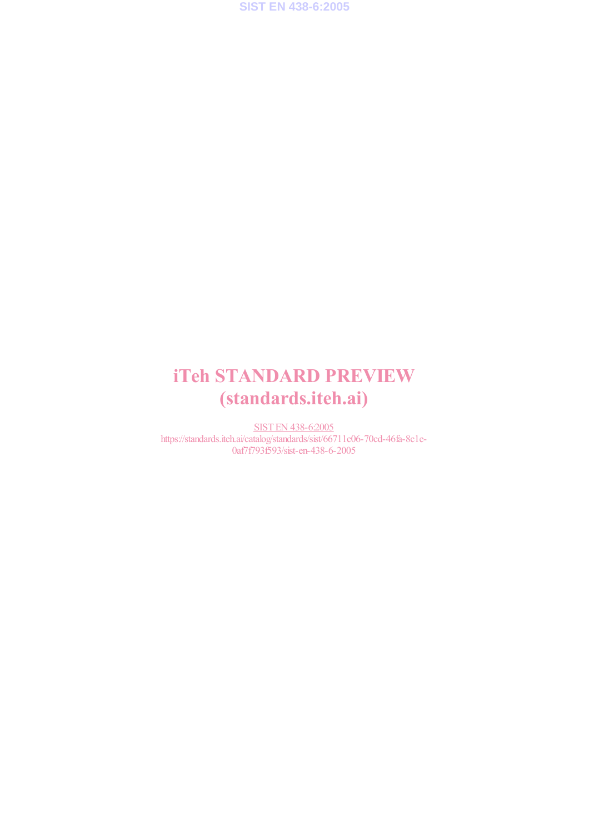

# iTeh STANDARD PREVIEW (standards.iteh.ai)

SIST EN 438-6:2005 https://standards.iteh.ai/catalog/standards/sist/66711c06-70cd-46fa-8c1e-0af7f793f593/sist-en-438-6-2005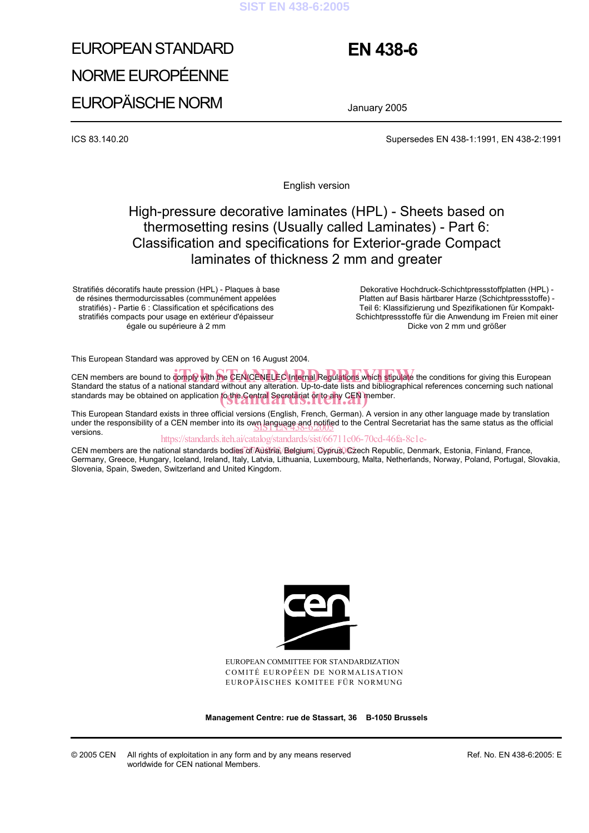#### **SIST EN 438-6:2005**

# EUROPEAN STANDARD NORME EUROPÉENNE EUROPÄISCHE NORM

# **EN 438-6**

January 2005

ICS 83.140.20 Supersedes EN 438-1:1991, EN 438-2:1991

English version

# High-pressure decorative laminates (HPL) - Sheets based on thermosetting resins (Usually called Laminates) - Part 6: Classification and specifications for Exterior-grade Compact laminates of thickness 2 mm and greater

Stratifiés décoratifs haute pression (HPL) - Plaques à base de résines thermodurcissables (communément appelées stratifiés) - Partie 6 : Classification et spécifications des stratifiés compacts pour usage en extérieur d'épaisseur égale ou supérieure à 2 mm

 Dekorative Hochdruck-Schichtpressstoffplatten (HPL) - Platten auf Basis härtbarer Harze (Schichtpressstoffe) - Teil 6: Klassifizierung und Spezifikationen für Kompakt-Schichtpressstoffe für die Anwendung im Freien mit einer Dicke von 2 mm und größer

This European Standard was approved by CEN on 16 August 2004.

CEN members are bound to comply with the CEN/CENELEC Internal Regulations which stipulate the conditions for giving this European Standard With the CEN/CENELEC Internal Regulations which stipulate the conditions for giving Standard the status of a national standard without any alteration. Up-to-date lists and bibliographical references concerning such national standards may be obtained on application to the Central Secretariat or to any CEN member.

This European Standard exists in three official versions (English, French, German). A version in any other language made by translation under the responsibility of a CEN member into its own language and notified to the Central Secretariat has the same status as the official versions versions.

https://standards.iteh.ai/catalog/standards/sist/66711c06-70cd-46fa-8c1e-

CEN members are the national standards bodies of Austria, Belgium, Cyprus, Czech Republic, Denmark, Estonia, Finland, France, Germany, Greece, Hungary, Iceland, Ireland, Italy, Latvia, Lithuania, Luxembourg, Malta, Netherlands, Norway, Poland, Portugal, Slovakia, Slovenia, Spain, Sweden, Switzerland and United Kingdom.



EUROPEAN COMMITTEE FOR STANDARDIZATION COMITÉ EUROPÉEN DE NORMALISATION EUROPÄISCHES KOMITEE FÜR NORMUNG

**Management Centre: rue de Stassart, 36 B-1050 Brussels**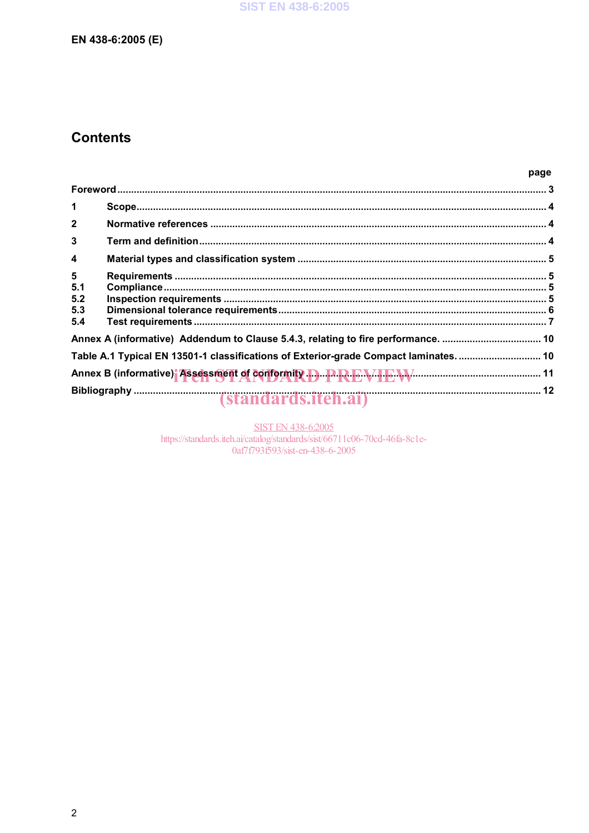# EN 438-6:2005 (E)

# **Contents**

| $\mathbf 1$                   |                                                                                       |  |
|-------------------------------|---------------------------------------------------------------------------------------|--|
| $\overline{2}$                |                                                                                       |  |
| 3                             |                                                                                       |  |
| 4                             |                                                                                       |  |
| 5<br>5.1<br>5.2<br>5.3<br>5.4 |                                                                                       |  |
|                               |                                                                                       |  |
|                               | Table A.1 Typical EN 13501-1 classifications of Exterior-grade Compact laminates.  10 |  |
|                               | Annex B (informative) Assessment of conformity D.D. P.R.E.V.I.E.V. M.                 |  |
|                               |                                                                                       |  |

SIST EN 438-6:2005<br>https://standards.iteh.ai/catalog/standards/sist/66711c06-70cd-46fa-8c1e-0af7f793f593/sist-en-438-6-2005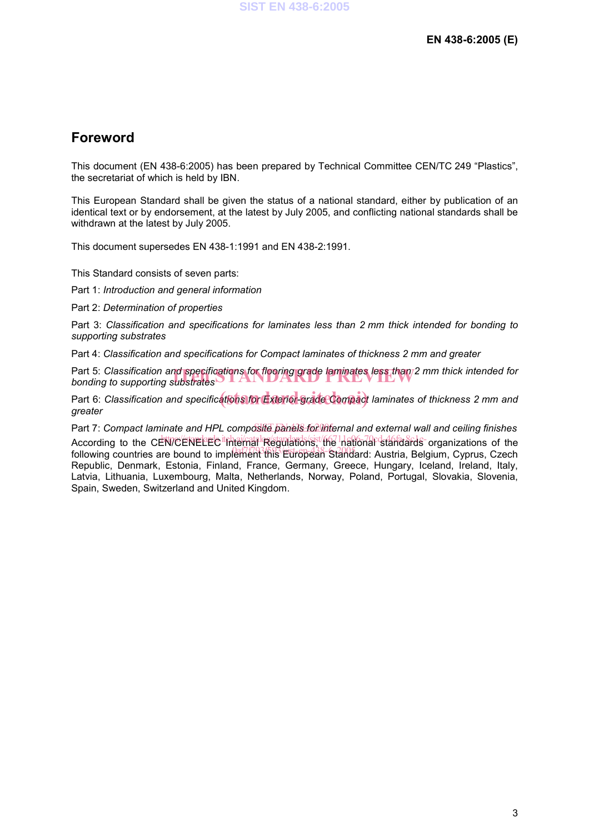# **Foreword**

This document (EN 438-6:2005) has been prepared by Technical Committee CEN/TC 249 "Plastics", the secretariat of which is held by IBN.

This European Standard shall be given the status of a national standard, either by publication of an identical text or by endorsement, at the latest by July 2005, and conflicting national standards shall be withdrawn at the latest by July 2005.

This document supersedes EN 438-1:1991 and EN 438-2:1991.

This Standard consists of seven parts:

Part 1: *Introduction and general information*

Part 2: *Determination of properties*

Part 3: *Classification and specifications for laminates less than 2 mm thick intended for bonding to supporting substrates* 

Part 4: *Classification and specifications for Compact laminates of thickness 2 mm and greater*

Part 5: *Classification and specifications for flooring grade laminates less than* 2 mm thick intended for<br>bonding to supporting substrates *bonding to supporting substrates*

Part 6: *Classification and specifications for Exterior-grade Compact laminates of thickness 2 mm and greater* 

Part 7: Compact laminate and HPL composite panels for lifternal and external wall and ceiling finishes According to the CEN/CENELEC the internal Regulations, the national standards organizations of the following countries are bound to implement this European Standard: Austria, Belgium, Cyprus, Czech Republic, Denmark, Estonia, Finland, France, Germany, Greece, Hungary, Iceland, Ireland, Italy, Latvia, Lithuania, Luxembourg, Malta, Netherlands, Norway, Poland, Portugal, Slovakia, Slovenia, Spain, Sweden, Switzerland and United Kingdom.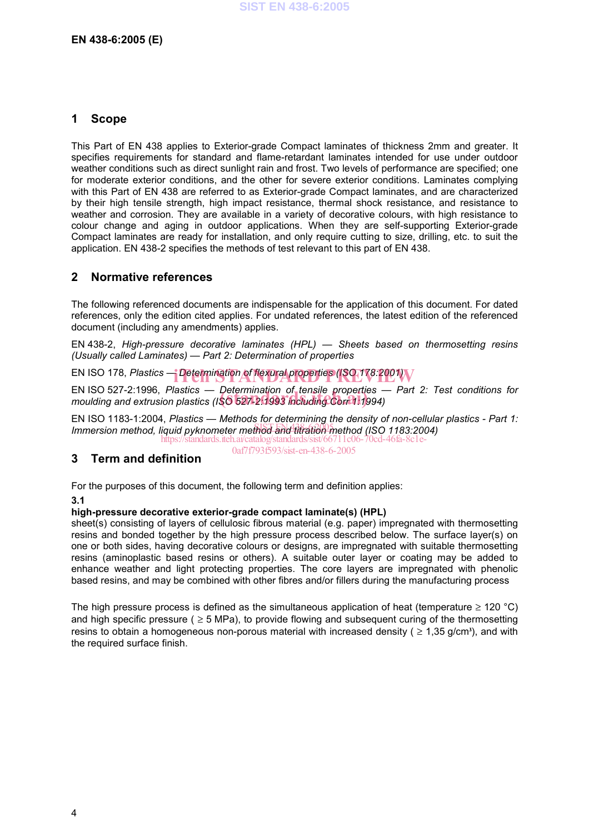### **1 Scope**

This Part of EN 438 applies to Exterior-grade Compact laminates of thickness 2mm and greater. It specifies requirements for standard and flame-retardant laminates intended for use under outdoor weather conditions such as direct sunlight rain and frost. Two levels of performance are specified; one for moderate exterior conditions, and the other for severe exterior conditions. Laminates complying with this Part of EN 438 are referred to as Exterior-grade Compact laminates, and are characterized by their high tensile strength, high impact resistance, thermal shock resistance, and resistance to weather and corrosion. They are available in a variety of decorative colours, with high resistance to colour change and aging in outdoor applications. When they are self-supporting Exterior-grade Compact laminates are ready for installation, and only require cutting to size, drilling, etc. to suit the application. EN 438-2 specifies the methods of test relevant to this part of EN 438.

## **2 Normative references**

The following referenced documents are indispensable for the application of this document. For dated references, only the edition cited applies. For undated references, the latest edition of the referenced document (including any amendments) applies.

EN 438-2, *High-pressure decorative laminates (HPL) — Sheets based on thermosetting resins (Usually called Laminates) — Part 2: Determination of properties*

EN ISO 178, *Plastics* — *Determination of flexural properties (ISO 178:2001)*<br>————————————————————

EN ISO 527-2:1996, *Plastics* — *Determination of tensile properties — Part 2: Test conditions for*  EN ISO 527-2:1996, *Plastics — Determination of tensile properties —*<br>moulding and extrusion plastics (ISO 527-2:1993 including Corr 1:1994)

EN ISO 1183-1:2004, *Plastics — Methods for determining the density of non-cellular plastics - Part 1:*  In the Children method, liquid pyknometer method and titration method (ISO 1183:2004)

https://standards.iteh.ai/catalog/standards/sist/66711c06-0af7f793f593/sist-en-438-6-2005

### **3 Term and definition**

For the purposes of this document, the following term and definition applies:

#### **3.1**

#### **high-pressure decorative exterior-grade compact laminate(s) (HPL)**

sheet(s) consisting of layers of cellulosic fibrous material (e.g. paper) impregnated with thermosetting resins and bonded together by the high pressure process described below. The surface layer(s) on one or both sides, having decorative colours or designs, are impregnated with suitable thermosetting resins (aminoplastic based resins or others). A suitable outer layer or coating may be added to enhance weather and light protecting properties. The core layers are impregnated with phenolic based resins, and may be combined with other fibres and/or fillers during the manufacturing process

The high pressure process is defined as the simultaneous application of heat (temperature  $\geq$  120 °C) and high specific pressure ( $\geq$  5 MPa), to provide flowing and subsequent curing of the thermosetting resins to obtain a homogeneous non-porous material with increased density ( $\geq 1.35$  g/cm<sup>3</sup>), and with the required surface finish.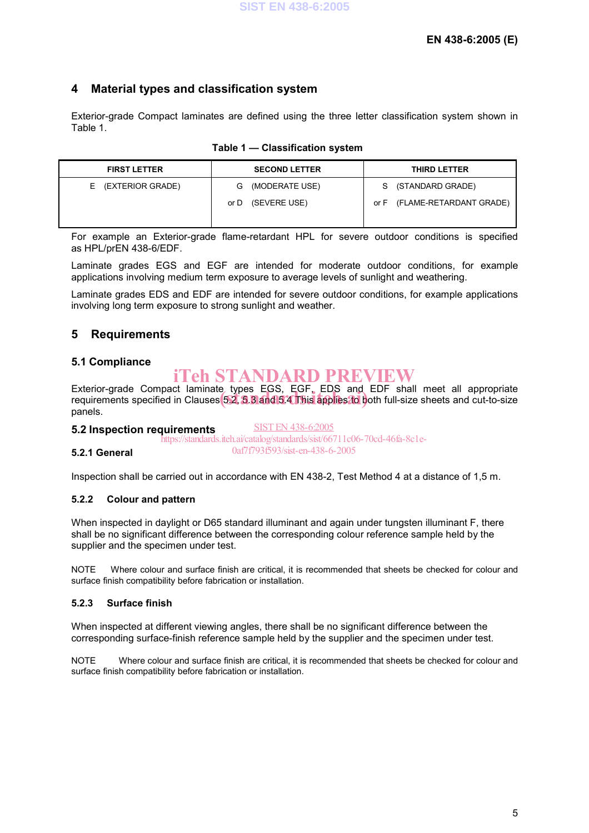## **4 Material types and classification system**

Exterior-grade Compact laminates are defined using the three letter classification system shown in Table 1.

|  | Table 1 - Classification system |  |
|--|---------------------------------|--|
|--|---------------------------------|--|

| <b>FIRST LETTER</b> | <b>SECOND LETTER</b> | <b>THIRD LETTER</b>             |
|---------------------|----------------------|---------------------------------|
| E (EXTERIOR GRADE)  | (MODERATE USE)<br>G  | S (STANDARD GRADE)              |
|                     | (SEVERE USE)<br>or D | (FLAME-RETARDANT GRADE)<br>or F |

For example an Exterior-grade flame-retardant HPL for severe outdoor conditions is specified as HPL/prEN 438-6/EDF.

Laminate grades EGS and EGF are intended for moderate outdoor conditions, for example applications involving medium term exposure to average levels of sunlight and weathering.

Laminate grades EDS and EDF are intended for severe outdoor conditions, for example applications involving long term exposure to strong sunlight and weather.

# **5 Requirements**

### **5.1 Compliance**

# iTeh STANDARD PREVIEW

Exterior-grade Compact laminate types EGS, EGF, EDS and EDF shall meet all appropriate Exterior-grade Compact Taminate types EGS, EGF, EDS and EDF shall meet all appropriate<br>requirements specified in Clauses 5.2, 3.3 and 5.4 This applies to both full-size sheets and cut-to-size panels.

SIST EN 438-6:2005

#### **5.2 Inspection requirements**

https://standards.iteh.ai/catalog/standards/sist/66711c06-70cd-46fa-8c1e-0af7f793f593/sist-en-438-6-2005

### **5.2.1 General**

Inspection shall be carried out in accordance with EN 438-2, Test Method 4 at a distance of 1,5 m.

#### **5.2.2 Colour and pattern**

When inspected in daylight or D65 standard illuminant and again under tungsten illuminant F, there shall be no significant difference between the corresponding colour reference sample held by the supplier and the specimen under test.

NOTE Where colour and surface finish are critical, it is recommended that sheets be checked for colour and surface finish compatibility before fabrication or installation.

#### **5.2.3 Surface finish**

When inspected at different viewing angles, there shall be no significant difference between the corresponding surface-finish reference sample held by the supplier and the specimen under test.

NOTE Where colour and surface finish are critical, it is recommended that sheets be checked for colour and surface finish compatibility before fabrication or installation.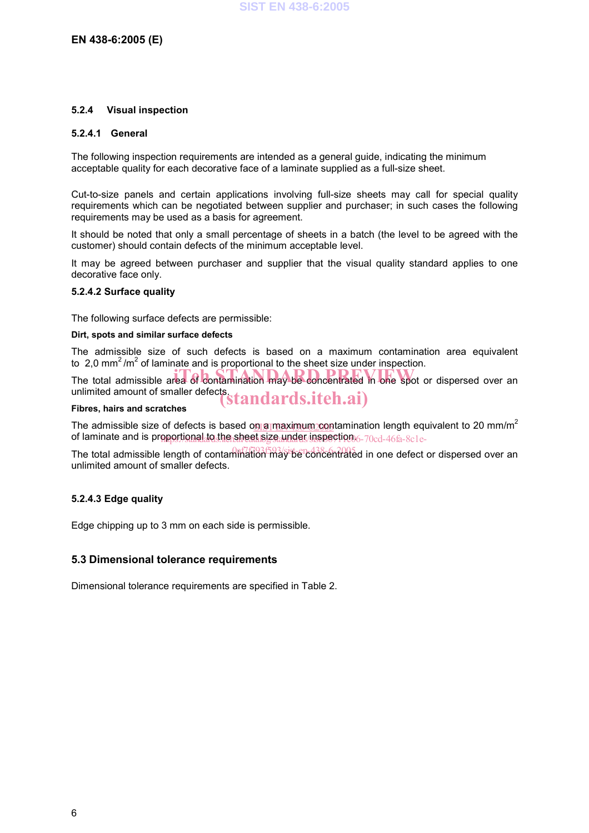#### **5.2.4 Visual inspection**

#### **5.2.4.1 General**

The following inspection requirements are intended as a general guide, indicating the minimum acceptable quality for each decorative face of a laminate supplied as a full-size sheet.

Cut-to-size panels and certain applications involving full-size sheets may call for special quality requirements which can be negotiated between supplier and purchaser; in such cases the following requirements may be used as a basis for agreement.

It should be noted that only a small percentage of sheets in a batch (the level to be agreed with the customer) should contain defects of the minimum acceptable level.

It may be agreed between purchaser and supplier that the visual quality standard applies to one decorative face only.

#### **5.2.4.2 Surface quality**

The following surface defects are permissible:

#### **Dirt, spots and similar surface defects**

The admissible size of such defects is based on a maximum contamination area equivalent to 2,0 mm<sup>2</sup>/m<sup>2</sup> of laminate and is proportional to the sheet size under inspection.

The total admissible area of contamination may be concentrated in one spot or dispersed over an unlimited amount of smaller defects. unlimited amount of smaller defects.<br>Fibres, hairs and scratches

The admissible size of defects is based o<u>n a maximum con</u>tamination length equivalent to 20 mm/m<sup>2</sup> of laminate and is proportional to the sheet size under inspection 6-70cd-46fa-8c1e-

The total admissible length of contamination may be concentrated in one defect or dispersed over an unlimited amount of smaller defects.

#### **5.2.4.3 Edge quality**

Edge chipping up to 3 mm on each side is permissible.

### **5.3 Dimensional tolerance requirements**

Dimensional tolerance requirements are specified in Table 2.